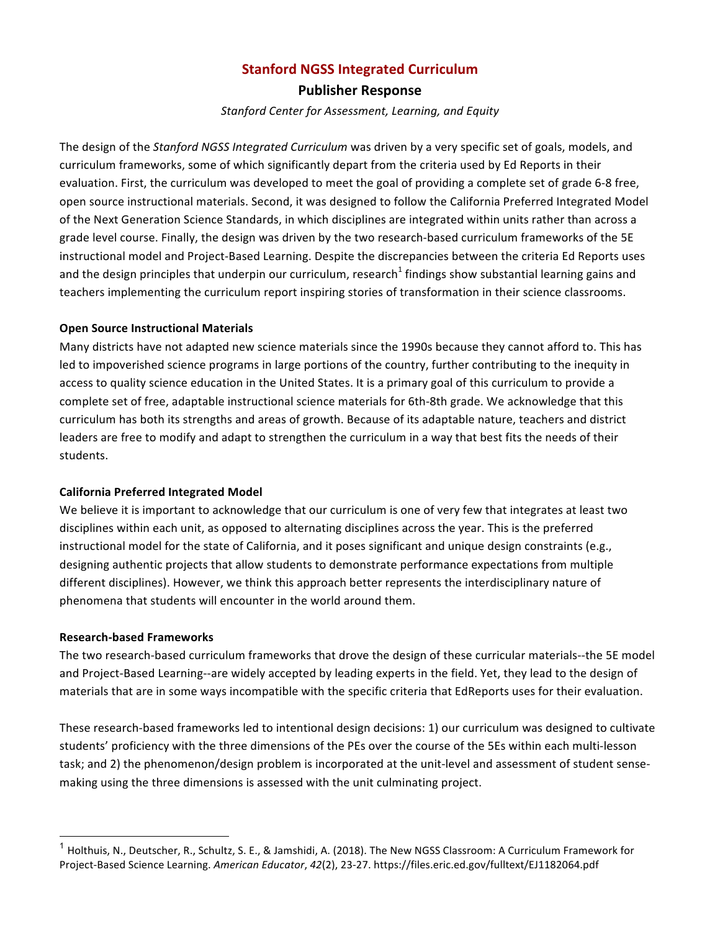## **Stanford NGSS Integrated Curriculum**

**Publisher Response**

*Stanford Center for Assessment, Learning, and Equity*

The design of the *Stanford NGSS Integrated Curriculum* was driven by a very specific set of goals, models, and curriculum frameworks, some of which significantly depart from the criteria used by Ed Reports in their evaluation. First, the curriculum was developed to meet the goal of providing a complete set of grade 6-8 free, open source instructional materials. Second, it was designed to follow the California Preferred Integrated Model of the Next Generation Science Standards, in which disciplines are integrated within units rather than across a grade level course. Finally, the design was driven by the two research-based curriculum frameworks of the 5E instructional model and Project-Based Learning. Despite the discrepancies between the criteria Ed Reports uses and the design principles that underpin our curriculum, research<sup>1</sup> findings show substantial learning gains and teachers implementing the curriculum report inspiring stories of transformation in their science classrooms.

## **Open Source Instructional Materials**

Many districts have not adapted new science materials since the 1990s because they cannot afford to. This has led to impoverished science programs in large portions of the country, further contributing to the inequity in access to quality science education in the United States. It is a primary goal of this curriculum to provide a complete set of free, adaptable instructional science materials for 6th-8th grade. We acknowledge that this curriculum has both its strengths and areas of growth. Because of its adaptable nature, teachers and district leaders are free to modify and adapt to strengthen the curriculum in a way that best fits the needs of their students. 

## **California Preferred Integrated Model**

We believe it is important to acknowledge that our curriculum is one of very few that integrates at least two disciplines within each unit, as opposed to alternating disciplines across the year. This is the preferred instructional model for the state of California, and it poses significant and unique design constraints (e.g., designing authentic projects that allow students to demonstrate performance expectations from multiple different disciplines). However, we think this approach better represents the interdisciplinary nature of phenomena that students will encounter in the world around them.

## **Research-based Frameworks**

The two research-based curriculum frameworks that drove the design of these curricular materials--the 5E model and Project-Based Learning--are widely accepted by leading experts in the field. Yet, they lead to the design of materials that are in some ways incompatible with the specific criteria that EdReports uses for their evaluation.

These research-based frameworks led to intentional design decisions: 1) our curriculum was designed to cultivate students' proficiency with the three dimensions of the PEs over the course of the 5Es within each multi-lesson task; and 2) the phenomenon/design problem is incorporated at the unit-level and assessment of student sensemaking using the three dimensions is assessed with the unit culminating project.

 $^1$  Holthuis, N., Deutscher, R., Schultz, S. E., & Jamshidi, A. (2018). The New NGSS Classroom: A Curriculum Framework for Project-Based Science Learning. *American Educator*, *42*(2), 23-27. https://files.eric.ed.gov/fulltext/EJ1182064.pdf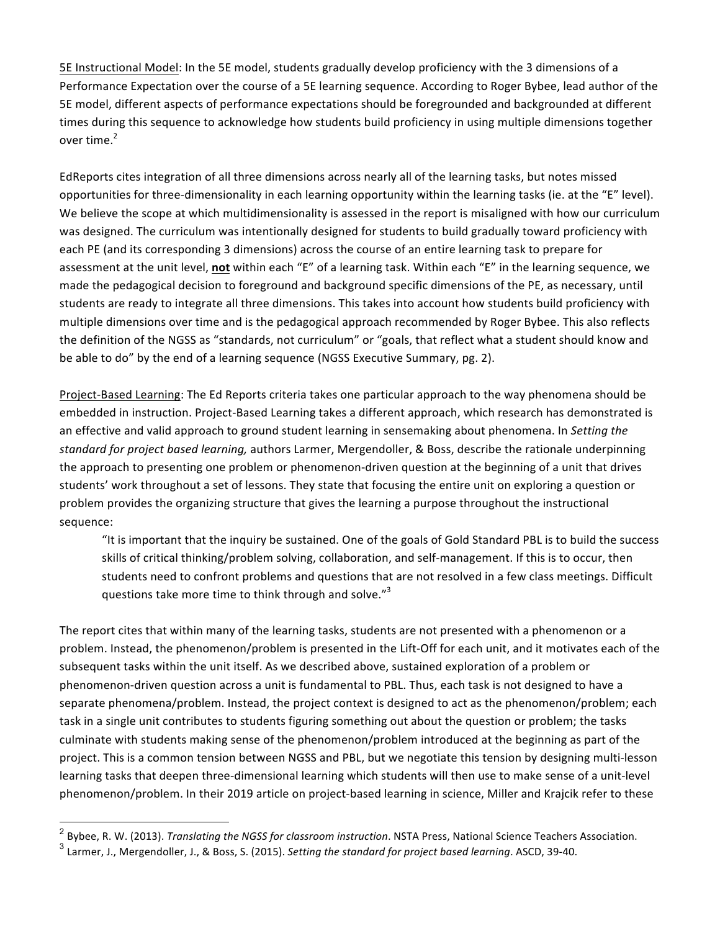5E Instructional Model: In the 5E model, students gradually develop proficiency with the 3 dimensions of a Performance Expectation over the course of a 5E learning sequence. According to Roger Bybee, lead author of the 5E model, different aspects of performance expectations should be foregrounded and backgrounded at different times during this sequence to acknowledge how students build proficiency in using multiple dimensions together over time. $2$ 

EdReports cites integration of all three dimensions across nearly all of the learning tasks, but notes missed opportunities for three-dimensionality in each learning opportunity within the learning tasks (ie. at the "E" level). We believe the scope at which multidimensionality is assessed in the report is misaligned with how our curriculum was designed. The curriculum was intentionally designed for students to build gradually toward proficiency with each PE (and its corresponding 3 dimensions) across the course of an entire learning task to prepare for assessment at the unit level, **not** within each "E" of a learning task. Within each "E" in the learning sequence, we made the pedagogical decision to foreground and background specific dimensions of the PE, as necessary, until students are ready to integrate all three dimensions. This takes into account how students build proficiency with multiple dimensions over time and is the pedagogical approach recommended by Roger Bybee. This also reflects the definition of the NGSS as "standards, not curriculum" or "goals, that reflect what a student should know and be able to do" by the end of a learning sequence (NGSS Executive Summary, pg. 2).

Project-Based Learning: The Ed Reports criteria takes one particular approach to the way phenomena should be embedded in instruction. Project-Based Learning takes a different approach, which research has demonstrated is an effective and valid approach to ground student learning in sensemaking about phenomena. In *Setting the standard for project based learning,* authors Larmer, Mergendoller, & Boss, describe the rationale underpinning the approach to presenting one problem or phenomenon-driven question at the beginning of a unit that drives students' work throughout a set of lessons. They state that focusing the entire unit on exploring a question or problem provides the organizing structure that gives the learning a purpose throughout the instructional sequence: 

"It is important that the inquiry be sustained. One of the goals of Gold Standard PBL is to build the success skills of critical thinking/problem solving, collaboration, and self-management. If this is to occur, then students need to confront problems and questions that are not resolved in a few class meetings. Difficult questions take more time to think through and solve."<sup>3</sup>

The report cites that within many of the learning tasks, students are not presented with a phenomenon or a problem. Instead, the phenomenon/problem is presented in the Lift-Off for each unit, and it motivates each of the subsequent tasks within the unit itself. As we described above, sustained exploration of a problem or phenomenon-driven question across a unit is fundamental to PBL. Thus, each task is not designed to have a separate phenomena/problem. Instead, the project context is designed to act as the phenomenon/problem; each task in a single unit contributes to students figuring something out about the question or problem; the tasks culminate with students making sense of the phenomenon/problem introduced at the beginning as part of the project. This is a common tension between NGSS and PBL, but we negotiate this tension by designing multi-lesson learning tasks that deepen three-dimensional learning which students will then use to make sense of a unit-level phenomenon/problem. In their 2019 article on project-based learning in science, Miller and Krajcik refer to these

<sup>&</sup>lt;sup>2</sup> Bvbee, R. W. (2013). *Translating the NGSS for classroom instruction*. NSTA Press, National Science Teachers Association. <sup>3</sup> Larmer, J., Mergendoller, J., & Boss, S. (2015). Setting the standard for project based learning. ASCD, 39-40.